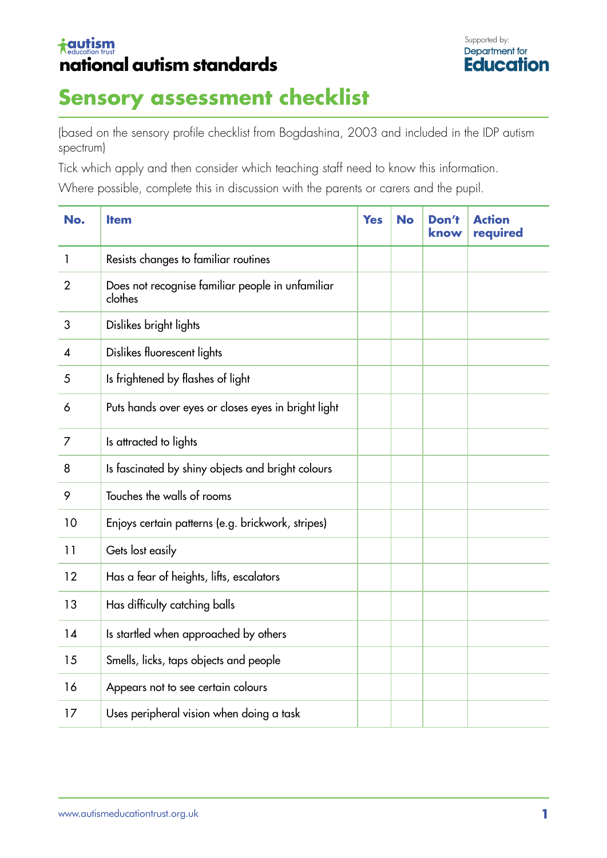## **tautism** national autism standards



## **Sensory assessment checklist**

(based on the sensory profile checklist from Bogdashina, 2003 and included in the IDP autism spectrum)

Tick which apply and then consider which teaching staff need to know this information.

Where possible, complete this in discussion with the parents or carers and the pupil.

| No.            | <b>Item</b>                                                 | <b>Yes</b> | <b>No</b> | Don't<br>know | <b>Action</b><br>required |
|----------------|-------------------------------------------------------------|------------|-----------|---------------|---------------------------|
| 1              | Resists changes to familiar routines                        |            |           |               |                           |
| $\overline{2}$ | Does not recognise familiar people in unfamiliar<br>clothes |            |           |               |                           |
| 3              | Dislikes bright lights                                      |            |           |               |                           |
| 4              | Dislikes fluorescent lights                                 |            |           |               |                           |
| 5              | Is frightened by flashes of light                           |            |           |               |                           |
| 6              | Puts hands over eyes or closes eyes in bright light         |            |           |               |                           |
| 7              | Is attracted to lights                                      |            |           |               |                           |
| 8              | Is fascinated by shiny objects and bright colours           |            |           |               |                           |
| 9              | Touches the walls of rooms                                  |            |           |               |                           |
| 10             | Enjoys certain patterns (e.g. brickwork, stripes)           |            |           |               |                           |
| 11             | Gets lost easily                                            |            |           |               |                           |
| 12             | Has a fear of heights, lifts, escalators                    |            |           |               |                           |
| 13             | Has difficulty catching balls                               |            |           |               |                           |
| 14             | Is startled when approached by others                       |            |           |               |                           |
| 15             | Smells, licks, taps objects and people                      |            |           |               |                           |
| 16             | Appears not to see certain colours                          |            |           |               |                           |
| 17             | Uses peripheral vision when doing a task                    |            |           |               |                           |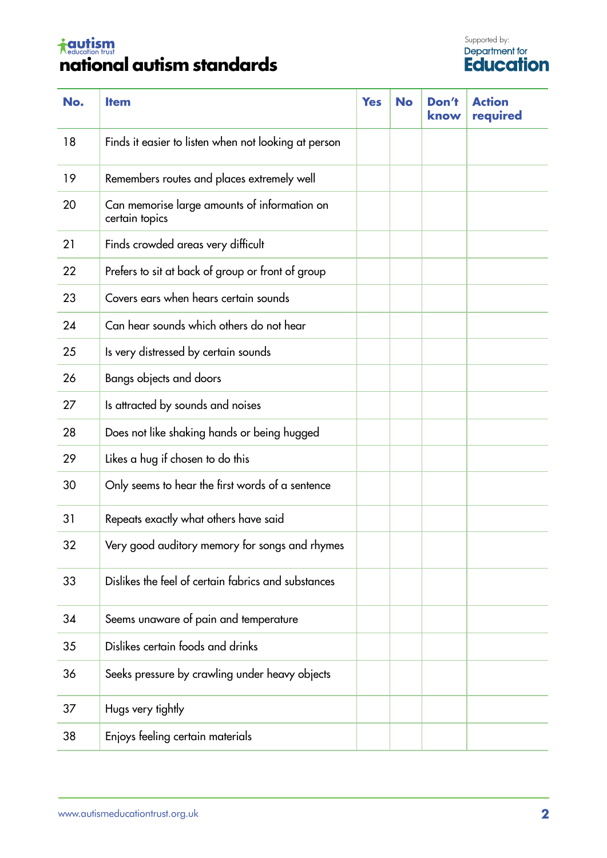## <del>i autism</del><br>**national autism standards**

| No. | <b>Item</b>                                                    | <b>Yes</b> | <b>No</b> | Don't<br>know | <b>Action</b><br>required |
|-----|----------------------------------------------------------------|------------|-----------|---------------|---------------------------|
| 18  | Finds it easier to listen when not looking at person           |            |           |               |                           |
| 19  | Remembers routes and places extremely well                     |            |           |               |                           |
| 20  | Can memorise large amounts of information on<br>certain topics |            |           |               |                           |
| 21  | Finds crowded areas very difficult                             |            |           |               |                           |
| 22  | Prefers to sit at back of group or front of group              |            |           |               |                           |
| 23  | Covers ears when hears certain sounds                          |            |           |               |                           |
| 24  | Can hear sounds which others do not hear                       |            |           |               |                           |
| 25  | Is very distressed by certain sounds                           |            |           |               |                           |
| 26  | Bangs objects and doors                                        |            |           |               |                           |
| 27  | Is attracted by sounds and noises                              |            |           |               |                           |
| 28  | Does not like shaking hands or being hugged                    |            |           |               |                           |
| 29  | Likes a hug if chosen to do this                               |            |           |               |                           |
| 30  | Only seems to hear the first words of a sentence               |            |           |               |                           |
| 31  | Repeats exactly what others have said                          |            |           |               |                           |
| 32  | Very good auditory memory for songs and rhymes                 |            |           |               |                           |
| 33  | Dislikes the feel of certain fabrics and substances            |            |           |               |                           |
| 34  | Seems unaware of pain and temperature                          |            |           |               |                           |
| 35  | Dislikes certain foods and drinks                              |            |           |               |                           |
| 36  | Seeks pressure by crawling under heavy objects                 |            |           |               |                           |
| 37  | Hugs very tightly                                              |            |           |               |                           |
| 38  | Enjoys feeling certain materials                               |            |           |               |                           |